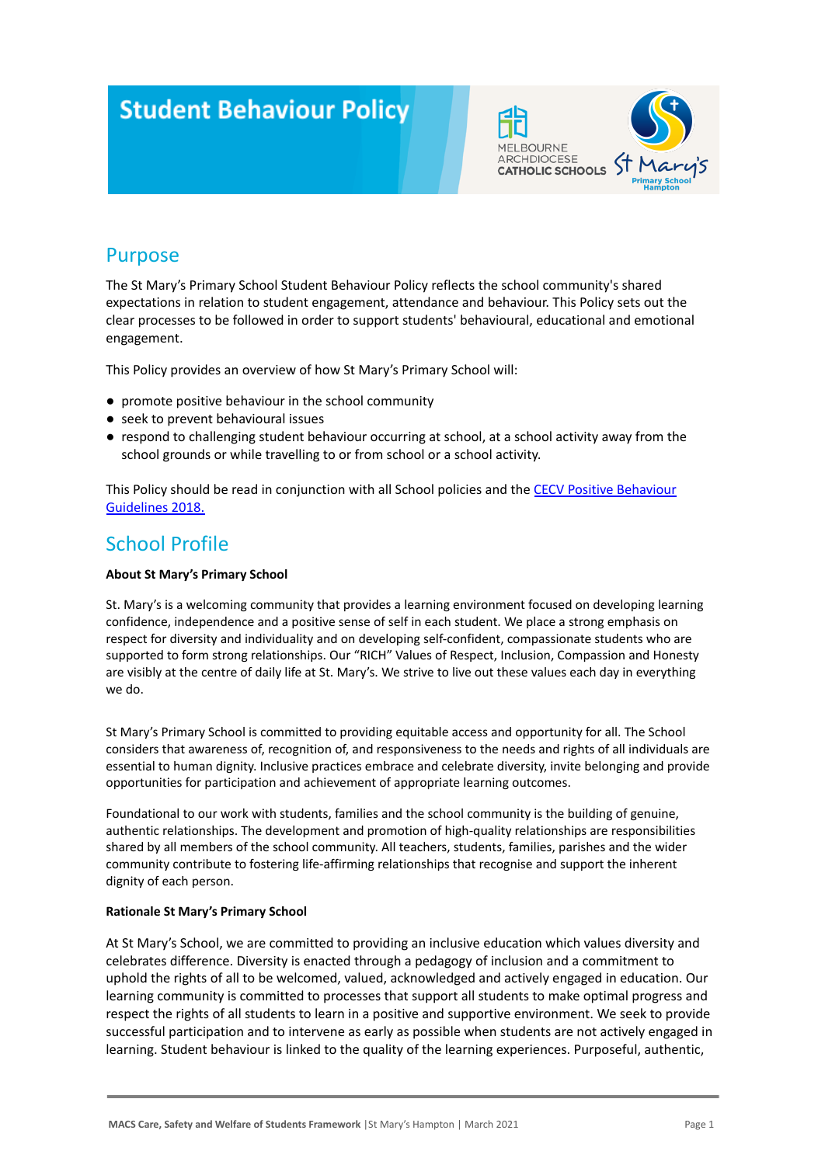# **Student Behaviour Policy**



### Purpose

The St Mary's Primary School Student Behaviour Policy reflects the school community's shared expectations in relation to student engagement, attendance and behaviour. This Policy sets out the clear processes to be followed in order to support students' behavioural, educational and emotional engagement.

This Policy provides an overview of how St Mary's Primary School will:

- promote positive behaviour in the school community
- seek to prevent behavioural issues
- respond to challenging student behaviour occurring at school, at a school activity away from the school grounds or while travelling to or from school or a school activity.

This Policy should be read in conjunction with all School policies and the [CECV Positive Behaviour](https://www.cecv.catholic.edu.au/getmedia/bc1d235d-9a98-4bb4-b3ac-84b50fa7c639/CECV-Positive-Behaviour-Guidelines_FINAL2.aspx?ext=.pdf) [Guidelines 2018.](https://www.cecv.catholic.edu.au/getmedia/bc1d235d-9a98-4bb4-b3ac-84b50fa7c639/CECV-Positive-Behaviour-Guidelines_FINAL2.aspx?ext=.pdf)

### School Profile

#### **About St Mary's Primary School**

St. Mary's is a welcoming community that provides a learning environment focused on developing learning confidence, independence and a positive sense of self in each student. We place a strong emphasis on respect for diversity and individuality and on developing self-confident, compassionate students who are supported to form strong relationships. Our "RICH" Values of Respect, Inclusion, Compassion and Honesty are visibly at the centre of daily life at St. Mary's. We strive to live out these values each day in everything we do.

St Mary's Primary School is committed to providing equitable access and opportunity for all. The School considers that awareness of, recognition of, and responsiveness to the needs and rights of all individuals are essential to human dignity. Inclusive practices embrace and celebrate diversity, invite belonging and provide opportunities for participation and achievement of appropriate learning outcomes.

Foundational to our work with students, families and the school community is the building of genuine, authentic relationships. The development and promotion of high-quality relationships are responsibilities shared by all members of the school community. All teachers, students, families, parishes and the wider community contribute to fostering life-affirming relationships that recognise and support the inherent dignity of each person.

#### **Rationale St Mary's Primary School**

At St Mary's School, we are committed to providing an inclusive education which values diversity and celebrates difference. Diversity is enacted through a pedagogy of inclusion and a commitment to uphold the rights of all to be welcomed, valued, acknowledged and actively engaged in education. Our learning community is committed to processes that support all students to make optimal progress and respect the rights of all students to learn in a positive and supportive environment. We seek to provide successful participation and to intervene as early as possible when students are not actively engaged in learning. Student behaviour is linked to the quality of the learning experiences. Purposeful, authentic,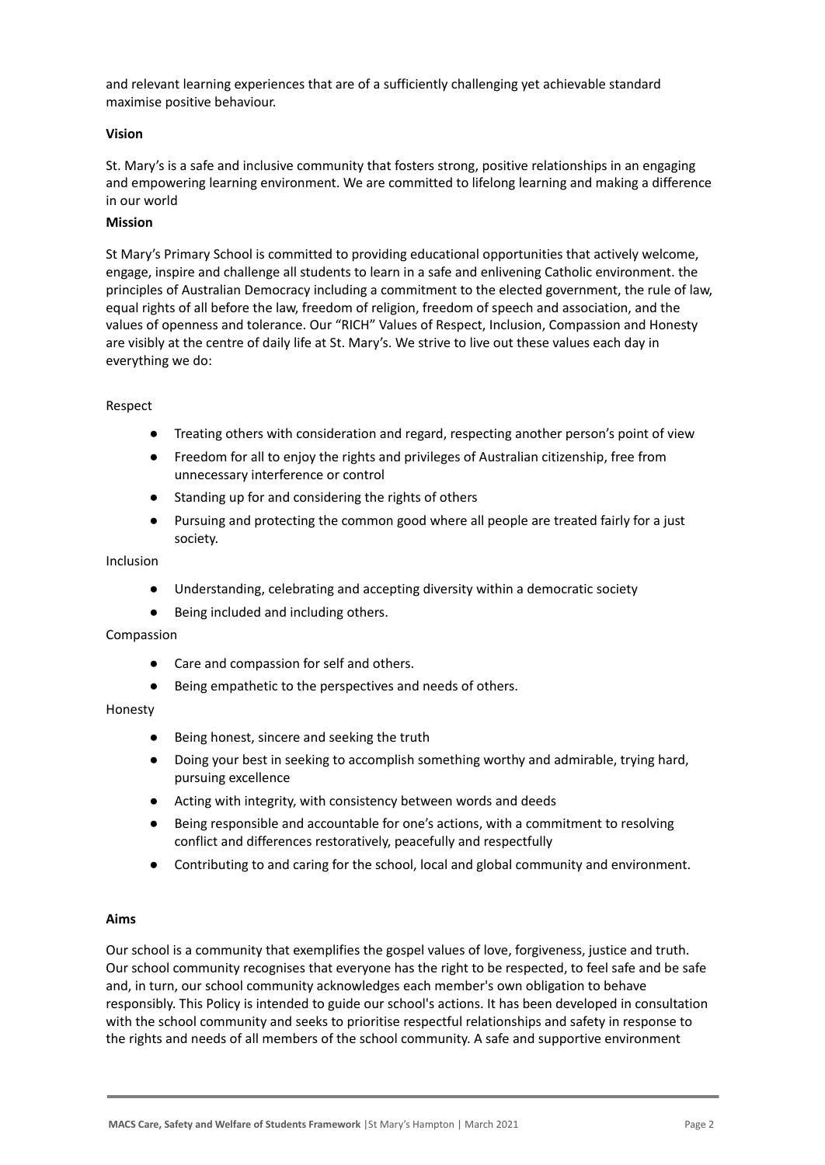and relevant learning experiences that are of a sufficiently challenging yet achievable standard maximise positive behaviour.

#### **Vision**

St. Mary's is a safe and inclusive community that fosters strong, positive relationships in an engaging and empowering learning environment. We are committed to lifelong learning and making a difference in our world

#### **Mission**

St Mary's Primary School is committed to providing educational opportunities that actively welcome, engage, inspire and challenge all students to learn in a safe and enlivening Catholic environment. the principles of Australian Democracy including a commitment to the elected government, the rule of law, equal rights of all before the law, freedom of religion, freedom of speech and association, and the values of openness and tolerance. Our "RICH" Values of Respect, Inclusion, Compassion and Honesty are visibly at the centre of daily life at St. Mary's. We strive to live out these values each day in everything we do:

#### Respect

- Treating others with consideration and regard, respecting another person's point of view
- Freedom for all to enjoy the rights and privileges of Australian citizenship, free from unnecessary interference or control
- Standing up for and considering the rights of others
- Pursuing and protecting the common good where all people are treated fairly for a just society.

#### Inclusion

- Understanding, celebrating and accepting diversity within a democratic society
- Being included and including others.

#### Compassion

- Care and compassion for self and others.
- Being empathetic to the perspectives and needs of others.

#### Honesty

- Being honest, sincere and seeking the truth
- Doing your best in seeking to accomplish something worthy and admirable, trying hard, pursuing excellence
- Acting with integrity, with consistency between words and deeds
- Being responsible and accountable for one's actions, with a commitment to resolving conflict and differences restoratively, peacefully and respectfully
- Contributing to and caring for the school, local and global community and environment.

#### **Aims**

Our school is a community that exemplifies the gospel values of love, forgiveness, justice and truth. Our school community recognises that everyone has the right to be respected, to feel safe and be safe and, in turn, our school community acknowledges each member's own obligation to behave responsibly. This Policy is intended to guide our school's actions. It has been developed in consultation with the school community and seeks to prioritise respectful relationships and safety in response to the rights and needs of all members of the school community. A safe and supportive environment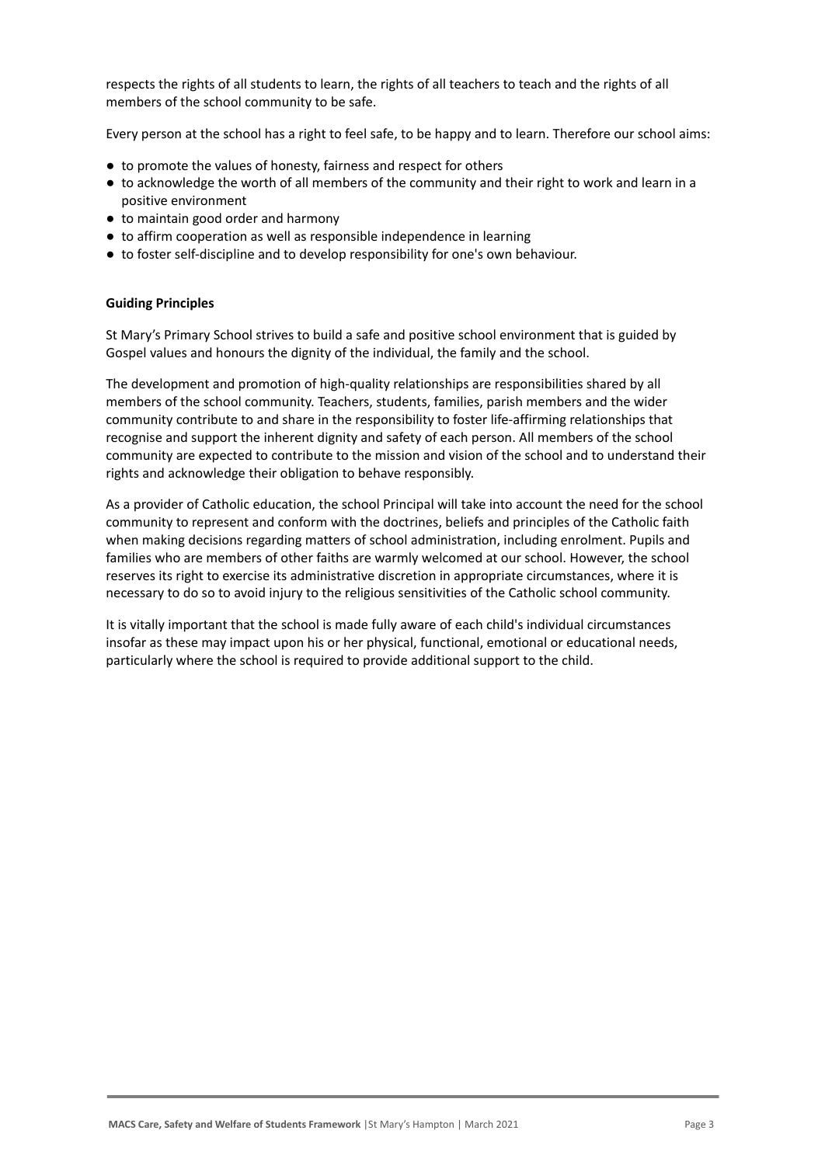respects the rights of all students to learn, the rights of all teachers to teach and the rights of all members of the school community to be safe.

Every person at the school has a right to feel safe, to be happy and to learn. Therefore our school aims:

- to promote the values of honesty, fairness and respect for others
- to acknowledge the worth of all members of the community and their right to work and learn in a positive environment
- to maintain good order and harmony
- to affirm cooperation as well as responsible independence in learning
- to foster self-discipline and to develop responsibility for one's own behaviour.

#### **Guiding Principles**

St Mary's Primary School strives to build a safe and positive school environment that is guided by Gospel values and honours the dignity of the individual, the family and the school.

The development and promotion of high-quality relationships are responsibilities shared by all members of the school community. Teachers, students, families, parish members and the wider community contribute to and share in the responsibility to foster life-affirming relationships that recognise and support the inherent dignity and safety of each person. All members of the school community are expected to contribute to the mission and vision of the school and to understand their rights and acknowledge their obligation to behave responsibly.

As a provider of Catholic education, the school Principal will take into account the need for the school community to represent and conform with the doctrines, beliefs and principles of the Catholic faith when making decisions regarding matters of school administration, including enrolment. Pupils and families who are members of other faiths are warmly welcomed at our school. However, the school reserves its right to exercise its administrative discretion in appropriate circumstances, where it is necessary to do so to avoid injury to the religious sensitivities of the Catholic school community.

It is vitally important that the school is made fully aware of each child's individual circumstances insofar as these may impact upon his or her physical, functional, emotional or educational needs, particularly where the school is required to provide additional support to the child.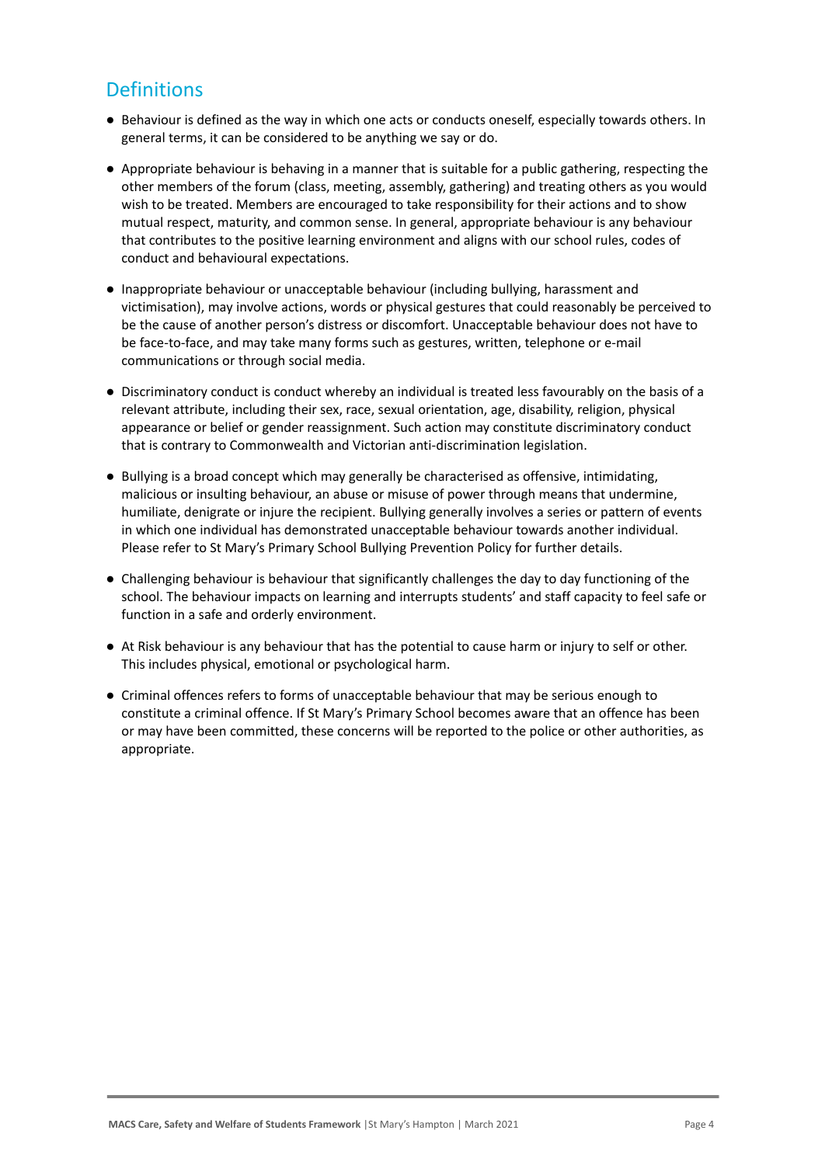## **Definitions**

- Behaviour is defined as the way in which one acts or conducts oneself, especially towards others. In general terms, it can be considered to be anything we say or do.
- Appropriate behaviour is behaving in a manner that is suitable for a public gathering, respecting the other members of the forum (class, meeting, assembly, gathering) and treating others as you would wish to be treated. Members are encouraged to take responsibility for their actions and to show mutual respect, maturity, and common sense. In general, appropriate behaviour is any behaviour that contributes to the positive learning environment and aligns with our school rules, codes of conduct and behavioural expectations.
- Inappropriate behaviour or unacceptable behaviour (including bullying, harassment and victimisation), may involve actions, words or physical gestures that could reasonably be perceived to be the cause of another person's distress or discomfort. Unacceptable behaviour does not have to be face-to-face, and may take many forms such as gestures, written, telephone or e-mail communications or through social media.
- Discriminatory conduct is conduct whereby an individual is treated less favourably on the basis of a relevant attribute, including their sex, race, sexual orientation, age, disability, religion, physical appearance or belief or gender reassignment. Such action may constitute discriminatory conduct that is contrary to Commonwealth and Victorian anti-discrimination legislation.
- Bullying is a broad concept which may generally be characterised as offensive, intimidating, malicious or insulting behaviour, an abuse or misuse of power through means that undermine, humiliate, denigrate or injure the recipient. Bullying generally involves a series or pattern of events in which one individual has demonstrated unacceptable behaviour towards another individual. Please refer to St Mary's Primary School Bullying Prevention Policy for further details.
- Challenging behaviour is behaviour that significantly challenges the day to day functioning of the school. The behaviour impacts on learning and interrupts students' and staff capacity to feel safe or function in a safe and orderly environment.
- At Risk behaviour is any behaviour that has the potential to cause harm or injury to self or other. This includes physical, emotional or psychological harm.
- Criminal offences refers to forms of unacceptable behaviour that may be serious enough to constitute a criminal offence. If St Mary's Primary School becomes aware that an offence has been or may have been committed, these concerns will be reported to the police or other authorities, as appropriate.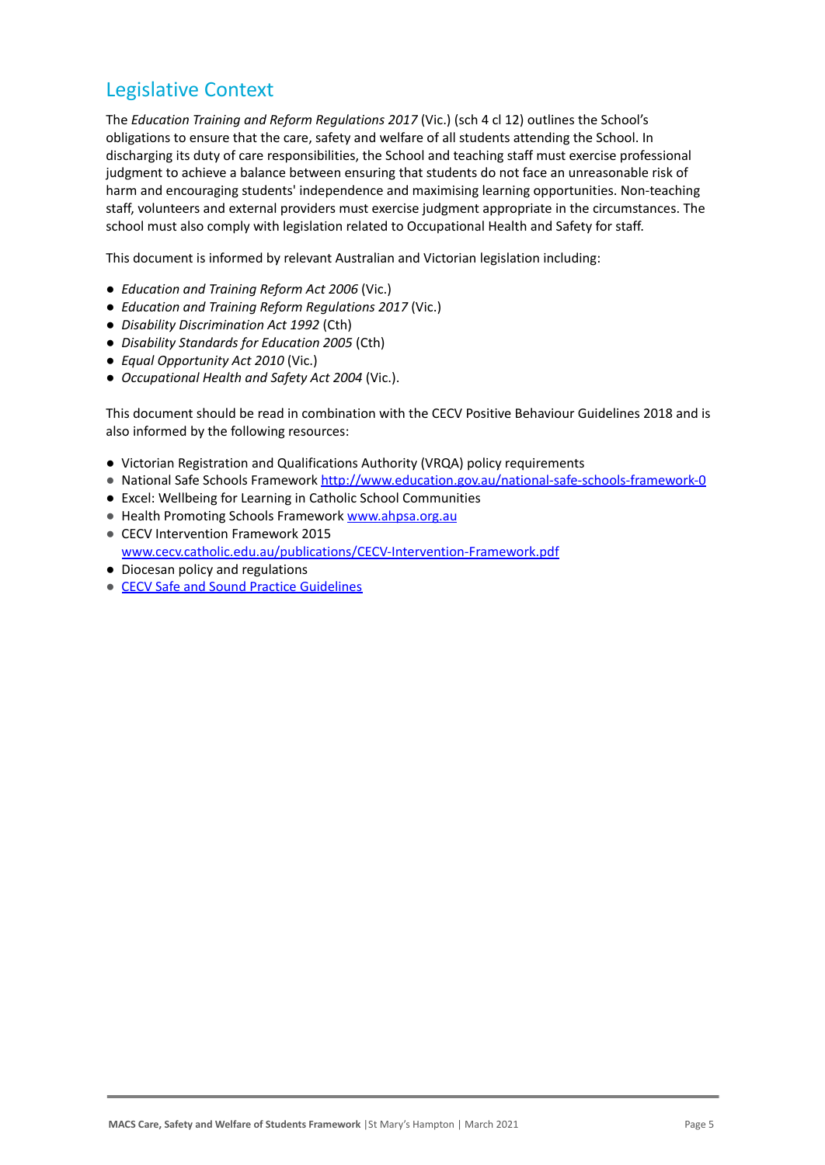### Legislative Context

The *Education Training and Reform Regulations 2017* (Vic.) (sch 4 cl 12) outlines the School's obligations to ensure that the care, safety and welfare of all students attending the School. In discharging its duty of care responsibilities, the School and teaching staff must exercise professional judgment to achieve a balance between ensuring that students do not face an unreasonable risk of harm and encouraging students' independence and maximising learning opportunities. Non-teaching staff, volunteers and external providers must exercise judgment appropriate in the circumstances. The school must also comply with legislation related to Occupational Health and Safety for staff.

This document is informed by relevant Australian and Victorian legislation including:

- *Education and Training Reform Act 2006* (Vic.)
- *Education and Training Reform Regulations 2017* (Vic.)
- *Disability Discrimination Act 1992* (Cth)
- *Disability Standards for Education 2005* (Cth)
- *Equal Opportunity Act 2010* (Vic.)
- *Occupational Health and Safety Act 2004* (Vic.).

This document should be read in combination with the CECV Positive Behaviour Guidelines 2018 and is also informed by the following resources:

- Victorian Registration and Qualifications Authority (VRQA) policy requirements
- National Safe Schools Framework <http://www.education.gov.au/national-safe-schools-framework-0>
- Excel: Wellbeing for Learning in Catholic School Communities
- Health Promoting Schools Framework [www.ahpsa.org.au](http://www.ahpsa.org.au)
- CECV Intervention Framework 2015 [www.cecv.catholic.edu.au/publications/CECV-Intervention-Framework.pdf](http://www.cecv.catholic.edu.au/publications/CECV-Intervention-Framework.pdf)
- Diocesan policy and regulations
- [CECV Safe and Sound Practice Guidelines](https://www.cecv.catholic.edu.au/getmedia/bad5e328-b5f9-4742-a66c-0c7f20ae21ff/Safe-and-Sound-Practice-Guidelines.aspx)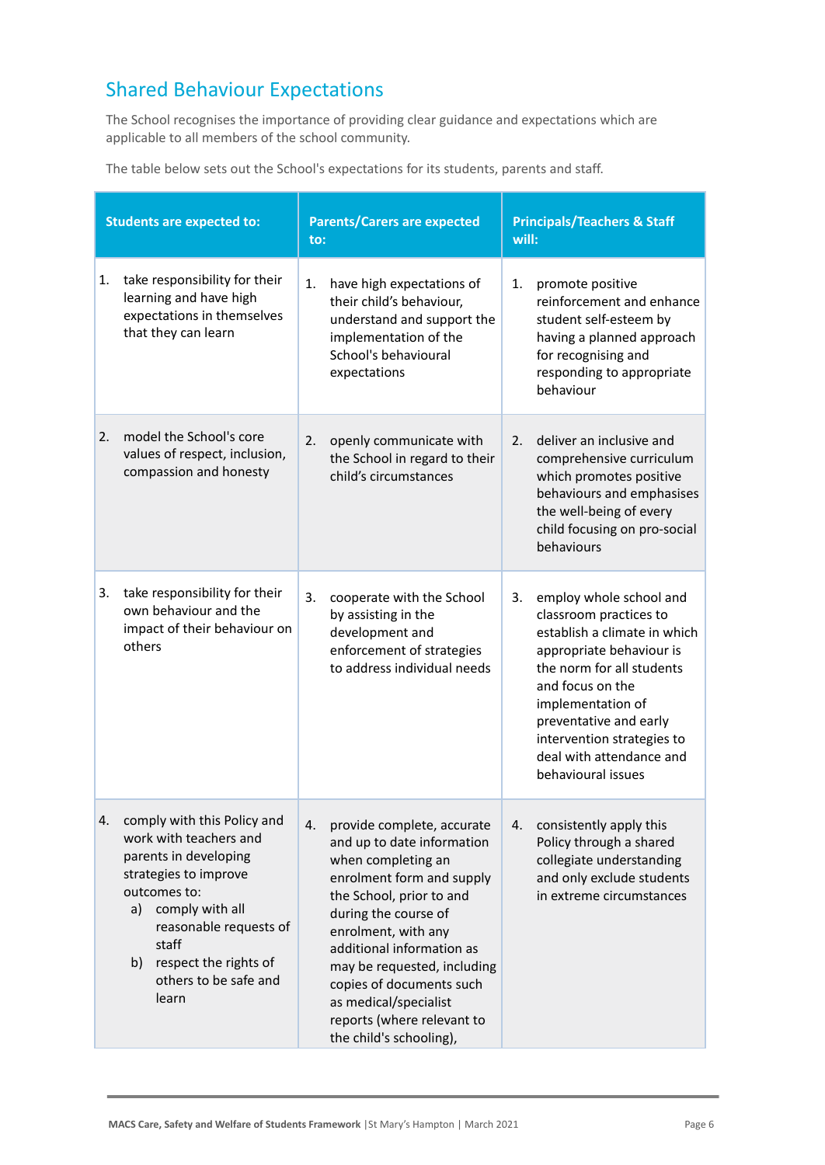## Shared Behaviour Expectations

The School recognises the importance of providing clear guidance and expectations which are applicable to all members of the school community.

The table below sets out the School's expectations for its students, parents and staff.

| <b>Students are expected to:</b> |                                                                                                                                                                                                                                                      | <b>Parents/Carers are expected</b><br>to: |                                                                                                                                                                                                                                                                                                                                                                  | <b>Principals/Teachers &amp; Staff</b><br>will: |                                                                                                                                                                                                                                                                                               |
|----------------------------------|------------------------------------------------------------------------------------------------------------------------------------------------------------------------------------------------------------------------------------------------------|-------------------------------------------|------------------------------------------------------------------------------------------------------------------------------------------------------------------------------------------------------------------------------------------------------------------------------------------------------------------------------------------------------------------|-------------------------------------------------|-----------------------------------------------------------------------------------------------------------------------------------------------------------------------------------------------------------------------------------------------------------------------------------------------|
| 1.                               | take responsibility for their<br>learning and have high<br>expectations in themselves<br>that they can learn                                                                                                                                         | 1.                                        | have high expectations of<br>their child's behaviour,<br>understand and support the<br>implementation of the<br>School's behavioural<br>expectations                                                                                                                                                                                                             | 1.                                              | promote positive<br>reinforcement and enhance<br>student self-esteem by<br>having a planned approach<br>for recognising and<br>responding to appropriate<br>behaviour                                                                                                                         |
| 2.                               | model the School's core<br>values of respect, inclusion,<br>compassion and honesty                                                                                                                                                                   | 2.                                        | openly communicate with<br>the School in regard to their<br>child's circumstances                                                                                                                                                                                                                                                                                | 2.                                              | deliver an inclusive and<br>comprehensive curriculum<br>which promotes positive<br>behaviours and emphasises<br>the well-being of every<br>child focusing on pro-social<br>behaviours                                                                                                         |
| 3.                               | take responsibility for their<br>own behaviour and the<br>impact of their behaviour on<br>others                                                                                                                                                     | 3.                                        | cooperate with the School<br>by assisting in the<br>development and<br>enforcement of strategies<br>to address individual needs                                                                                                                                                                                                                                  | 3.                                              | employ whole school and<br>classroom practices to<br>establish a climate in which<br>appropriate behaviour is<br>the norm for all students<br>and focus on the<br>implementation of<br>preventative and early<br>intervention strategies to<br>deal with attendance and<br>behavioural issues |
| 4.                               | comply with this Policy and<br>work with teachers and<br>parents in developing<br>strategies to improve<br>outcomes to:<br>comply with all<br>a)<br>reasonable requests of<br>staff<br>respect the rights of<br>b)<br>others to be safe and<br>learn | 4.                                        | provide complete, accurate<br>and up to date information<br>when completing an<br>enrolment form and supply<br>the School, prior to and<br>during the course of<br>enrolment, with any<br>additional information as<br>may be requested, including<br>copies of documents such<br>as medical/specialist<br>reports (where relevant to<br>the child's schooling), | 4.                                              | consistently apply this<br>Policy through a shared<br>collegiate understanding<br>and only exclude students<br>in extreme circumstances                                                                                                                                                       |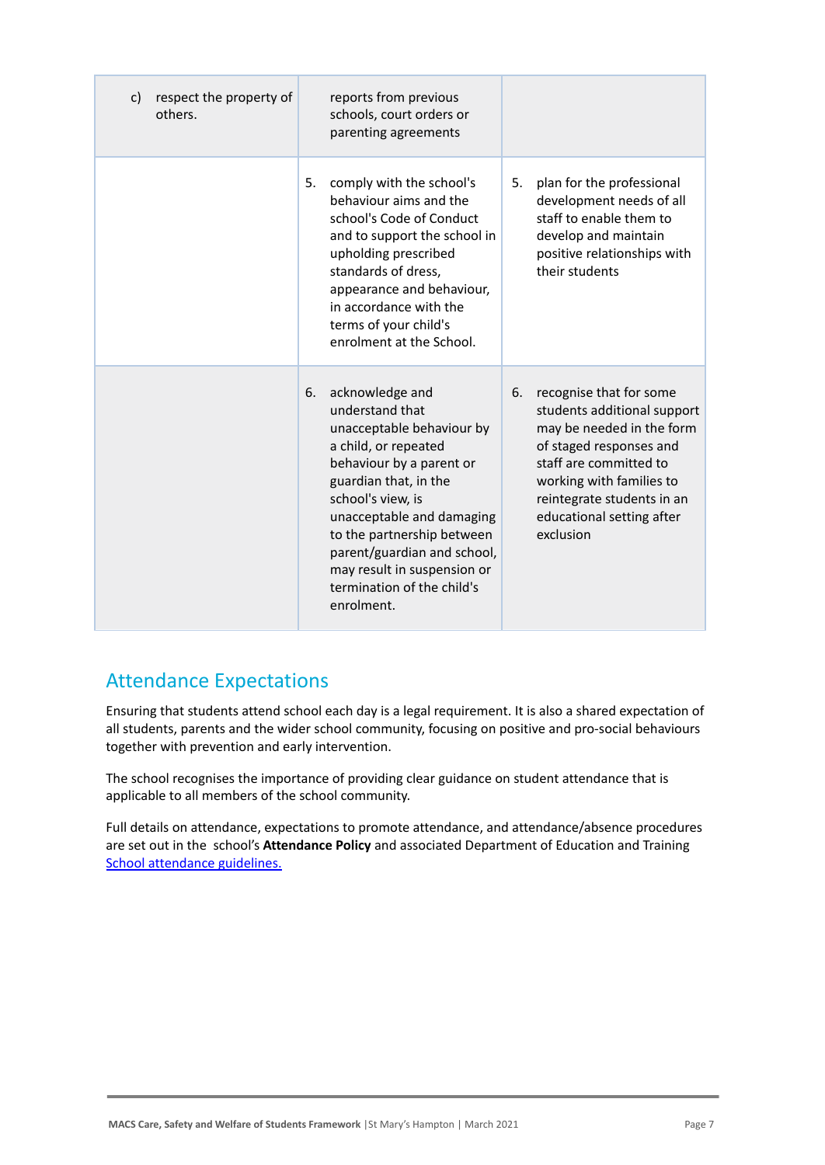| respect the property of<br>C)<br>others. | reports from previous<br>schools, court orders or<br>parenting agreements                                                                                                                                                                                                                                                                    |                                                                                                                                                                                                                                                    |
|------------------------------------------|----------------------------------------------------------------------------------------------------------------------------------------------------------------------------------------------------------------------------------------------------------------------------------------------------------------------------------------------|----------------------------------------------------------------------------------------------------------------------------------------------------------------------------------------------------------------------------------------------------|
|                                          | 5.<br>comply with the school's<br>behaviour aims and the<br>school's Code of Conduct<br>and to support the school in<br>upholding prescribed<br>standards of dress,<br>appearance and behaviour,<br>in accordance with the<br>terms of your child's<br>enrolment at the School.                                                              | plan for the professional<br>5.<br>development needs of all<br>staff to enable them to<br>develop and maintain<br>positive relationships with<br>their students                                                                                    |
|                                          | acknowledge and<br>6.<br>understand that<br>unacceptable behaviour by<br>a child, or repeated<br>behaviour by a parent or<br>guardian that, in the<br>school's view, is<br>unacceptable and damaging<br>to the partnership between<br>parent/guardian and school,<br>may result in suspension or<br>termination of the child's<br>enrolment. | 6.<br>recognise that for some<br>students additional support<br>may be needed in the form<br>of staged responses and<br>staff are committed to<br>working with families to<br>reintegrate students in an<br>educational setting after<br>exclusion |

### Attendance Expectations

Ensuring that students attend school each day is a legal requirement. It is also a shared expectation of all students, parents and the wider school community, focusing on positive and pro-social behaviours together with prevention and early intervention.

The school recognises the importance of providing clear guidance on student attendance that is applicable to all members of the school community.

Full details on attendance, expectations to promote attendance, and attendance/absence procedures are set out in the school's **Attendance Policy** and associated Department of Education and Training [School attendance guidelines.](https://www2.education.vic.gov.au/pal/attendance/guidance)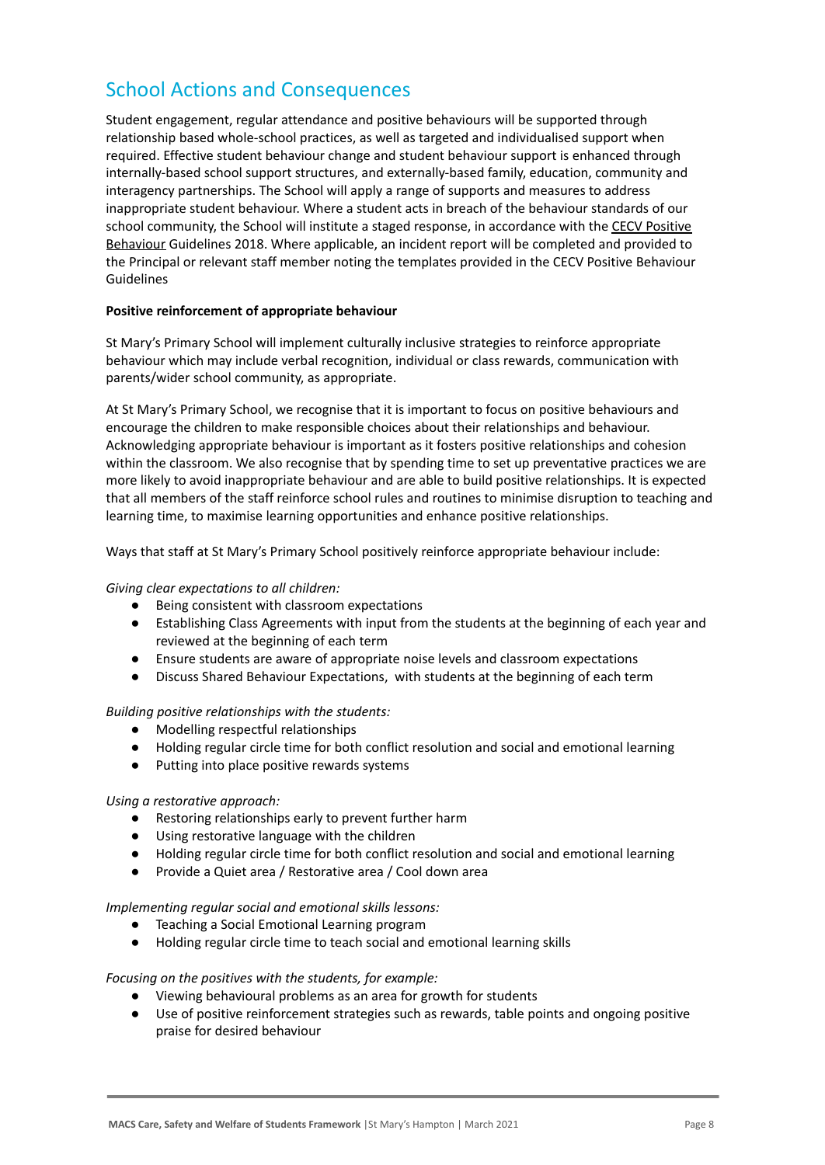## School Actions and Consequences

Student engagement, regular attendance and positive behaviours will be supported through relationship based whole-school practices, as well as targeted and individualised support when required. Effective student behaviour change and student behaviour support is enhanced through internally-based school support structures, and externally-based family, education, community and interagency partnerships. The School will apply a range of supports and measures to address inappropriate student behaviour. Where a student acts in breach of the behaviour standards of our school community, the School will institute a staged response, in accordance with the [CECV Positive](https://www.cecv.catholic.edu.au/getmedia/bc1d235d-9a98-4bb4-b3ac-84b50fa7c639/CECV-Positive-Behaviour-Guidelines_FINAL2.aspx?ext=.pdf) [Behaviour](https://www.cecv.catholic.edu.au/getmedia/bc1d235d-9a98-4bb4-b3ac-84b50fa7c639/CECV-Positive-Behaviour-Guidelines_FINAL2.aspx?ext=.pdf) Guidelines 2018. Where applicable, an incident report will be completed and provided to the Principal or relevant staff member noting the templates provided in the CECV Positive Behaviour Guidelines

#### **Positive reinforcement of appropriate behaviour**

St Mary's Primary School will implement culturally inclusive strategies to reinforce appropriate behaviour which may include verbal recognition, individual or class rewards, communication with parents/wider school community, as appropriate.

At St Mary's Primary School, we recognise that it is important to focus on positive behaviours and encourage the children to make responsible choices about their relationships and behaviour. Acknowledging appropriate behaviour is important as it fosters positive relationships and cohesion within the classroom. We also recognise that by spending time to set up preventative practices we are more likely to avoid inappropriate behaviour and are able to build positive relationships. It is expected that all members of the staff reinforce school rules and routines to minimise disruption to teaching and learning time, to maximise learning opportunities and enhance positive relationships.

Ways that staff at St Mary's Primary School positively reinforce appropriate behaviour include:

#### *Giving clear expectations to all children:*

- Being consistent with classroom expectations
- Establishing Class Agreements with input from the students at the beginning of each year and reviewed at the beginning of each term
- Ensure students are aware of appropriate noise levels and classroom expectations
- Discuss Shared Behaviour Expectations, with students at the beginning of each term

*Building positive relationships with the students:*

- Modelling respectful relationships
- Holding regular circle time for both conflict resolution and social and emotional learning
- Putting into place positive rewards systems

#### *Using a restorative approach:*

- Restoring relationships early to prevent further harm
- Using restorative language with the children
- Holding regular circle time for both conflict resolution and social and emotional learning
- Provide a Quiet area / Restorative area / Cool down area

*Implementing regular social and emotional skills lessons:*

- Teaching a Social Emotional Learning program
- Holding regular circle time to teach social and emotional learning skills

#### *Focusing on the positives with the students, for example:*

- Viewing behavioural problems as an area for growth for students
- Use of positive reinforcement strategies such as rewards, table points and ongoing positive praise for desired behaviour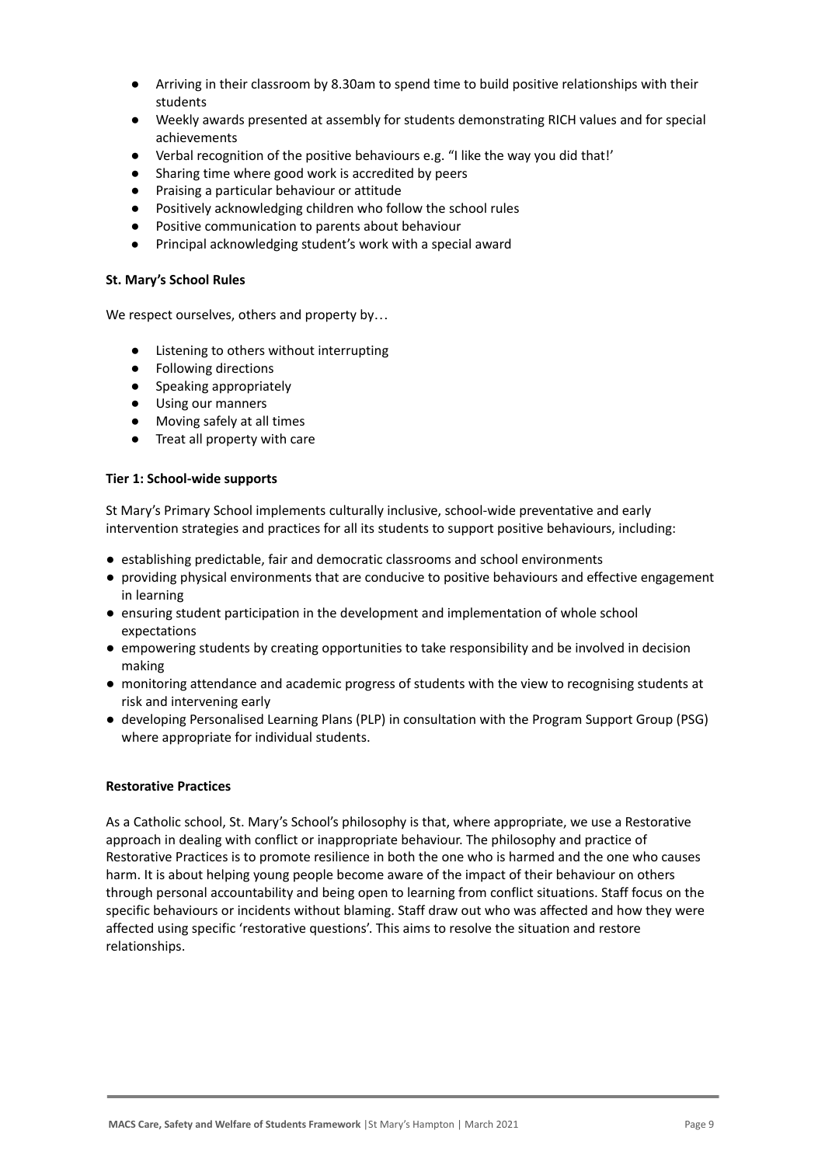- Arriving in their classroom by 8.30am to spend time to build positive relationships with their students
- Weekly awards presented at assembly for students demonstrating RICH values and for special achievements
- Verbal recognition of the positive behaviours e.g. "I like the way you did that!'
- Sharing time where good work is accredited by peers
- Praising a particular behaviour or attitude
- Positively acknowledging children who follow the school rules
- Positive communication to parents about behaviour
- Principal acknowledging student's work with a special award

#### **St. Mary's School Rules**

We respect ourselves, others and property by...

- Listening to others without interrupting
- Following directions
- Speaking appropriately
- Using our manners
- Moving safely at all times
- Treat all property with care

#### **Tier 1: School-wide supports**

St Mary's Primary School implements culturally inclusive, school-wide preventative and early intervention strategies and practices for all its students to support positive behaviours, including:

- establishing predictable, fair and democratic classrooms and school environments
- providing physical environments that are conducive to positive behaviours and effective engagement in learning
- ensuring student participation in the development and implementation of whole school expectations
- empowering students by creating opportunities to take responsibility and be involved in decision making
- monitoring attendance and academic progress of students with the view to recognising students at risk and intervening early
- developing Personalised Learning Plans (PLP) in consultation with the Program Support Group (PSG) where appropriate for individual students.

#### **Restorative Practices**

As a Catholic school, St. Mary's School's philosophy is that, where appropriate, we use a Restorative approach in dealing with conflict or inappropriate behaviour. The philosophy and practice of Restorative Practices is to promote resilience in both the one who is harmed and the one who causes harm. It is about helping young people become aware of the impact of their behaviour on others through personal accountability and being open to learning from conflict situations. Staff focus on the specific behaviours or incidents without blaming. Staff draw out who was affected and how they were affected using specific 'restorative questions'. This aims to resolve the situation and restore relationships.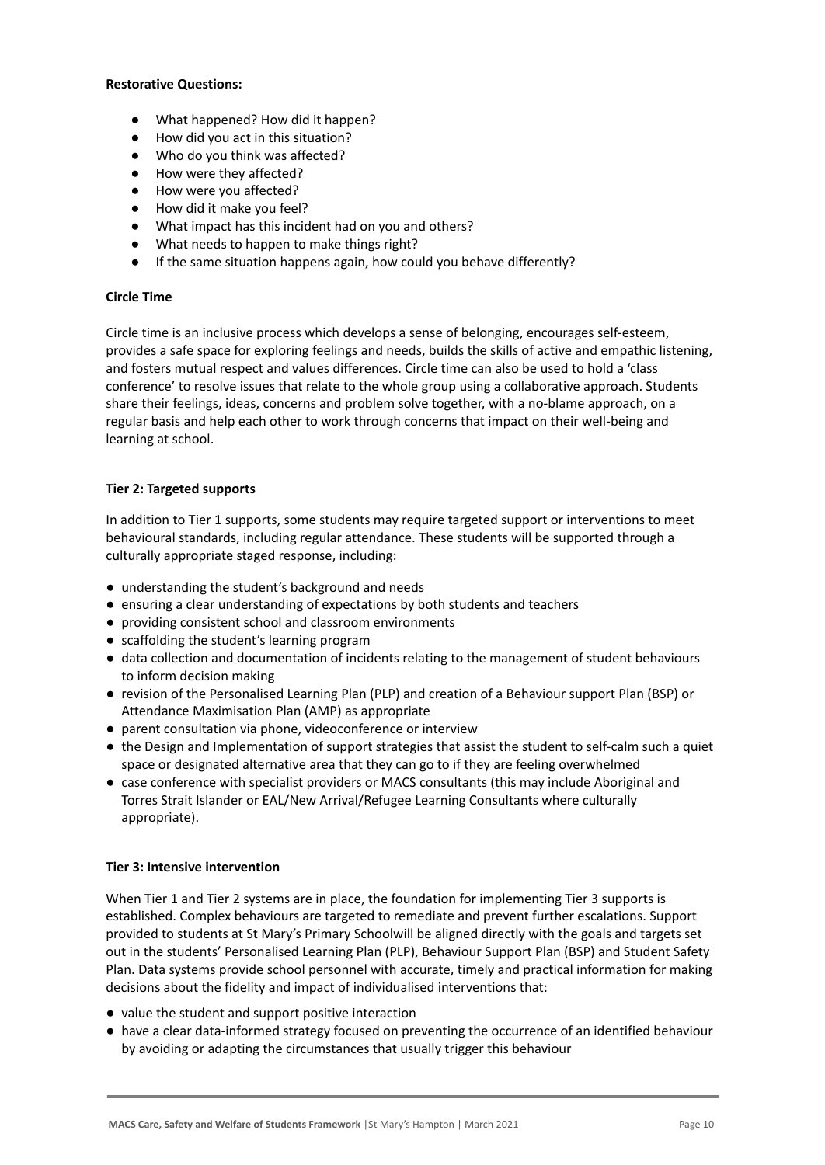#### **Restorative Questions:**

- What happened? How did it happen?
- How did you act in this situation?
- Who do you think was affected?
- How were they affected?
- How were you affected?
- How did it make you feel?
- What impact has this incident had on you and others?
- What needs to happen to make things right?
- If the same situation happens again, how could you behave differently?

#### **Circle Time**

Circle time is an inclusive process which develops a sense of belonging, encourages self-esteem, provides a safe space for exploring feelings and needs, builds the skills of active and empathic listening, and fosters mutual respect and values differences. Circle time can also be used to hold a 'class conference' to resolve issues that relate to the whole group using a collaborative approach. Students share their feelings, ideas, concerns and problem solve together, with a no-blame approach, on a regular basis and help each other to work through concerns that impact on their well-being and learning at school.

#### **Tier 2: Targeted supports**

In addition to Tier 1 supports, some students may require targeted support or interventions to meet behavioural standards, including regular attendance. These students will be supported through a culturally appropriate staged response, including:

- understanding the student's background and needs
- ensuring a clear understanding of expectations by both students and teachers
- providing consistent school and classroom environments
- scaffolding the student's learning program
- data collection and documentation of incidents relating to the management of student behaviours to inform decision making
- revision of the Personalised Learning Plan (PLP) and creation of a Behaviour support Plan (BSP) or Attendance Maximisation Plan (AMP) as appropriate
- parent consultation via phone, videoconference or interview
- the Design and Implementation of support strategies that assist the student to self-calm such a quiet space or designated alternative area that they can go to if they are feeling overwhelmed
- case conference with specialist providers or MACS consultants (this may include Aboriginal and Torres Strait Islander or EAL/New Arrival/Refugee Learning Consultants where culturally appropriate).

#### **Tier 3: Intensive intervention**

When Tier 1 and Tier 2 systems are in place, the foundation for implementing Tier 3 supports is established. Complex behaviours are targeted to remediate and prevent further escalations. Support provided to students at St Mary's Primary Schoolwill be aligned directly with the goals and targets set out in the students' Personalised Learning Plan (PLP), Behaviour Support Plan (BSP) and Student Safety Plan. Data systems provide school personnel with accurate, timely and practical information for making decisions about the fidelity and impact of individualised interventions that:

- value the student and support positive interaction
- have a clear data-informed strategy focused on preventing the occurrence of an identified behaviour by avoiding or adapting the circumstances that usually trigger this behaviour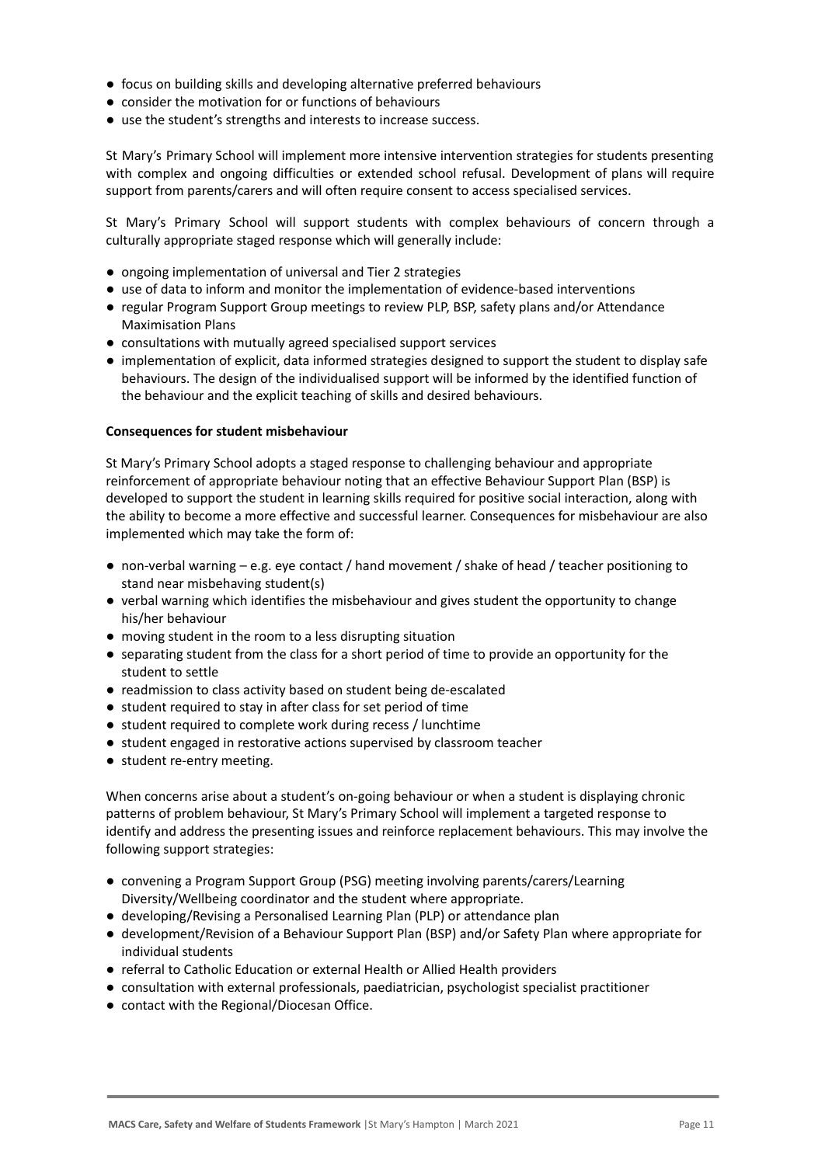- focus on building skills and developing alternative preferred behaviours
- consider the motivation for or functions of behaviours
- use the student's strengths and interests to increase success.

St Mary's Primary School will implement more intensive intervention strategies for students presenting with complex and ongoing difficulties or extended school refusal. Development of plans will require support from parents/carers and will often require consent to access specialised services.

St Mary's Primary School will support students with complex behaviours of concern through a culturally appropriate staged response which will generally include:

- ongoing implementation of universal and Tier 2 strategies
- use of data to inform and monitor the implementation of evidence-based interventions
- regular Program Support Group meetings to review PLP, BSP, safety plans and/or Attendance Maximisation Plans
- consultations with mutually agreed specialised support services
- implementation of explicit, data informed strategies designed to support the student to display safe behaviours. The design of the individualised support will be informed by the identified function of the behaviour and the explicit teaching of skills and desired behaviours.

#### **Consequences for student misbehaviour**

St Mary's Primary School adopts a staged response to challenging behaviour and appropriate reinforcement of appropriate behaviour noting that an effective Behaviour Support Plan (BSP) is developed to support the student in learning skills required for positive social interaction, along with the ability to become a more effective and successful learner. Consequences for misbehaviour are also implemented which may take the form of:

- non-verbal warning e.g. eye contact / hand movement / shake of head / teacher positioning to stand near misbehaving student(s)
- verbal warning which identifies the misbehaviour and gives student the opportunity to change his/her behaviour
- moving student in the room to a less disrupting situation
- separating student from the class for a short period of time to provide an opportunity for the student to settle
- readmission to class activity based on student being de-escalated
- student required to stay in after class for set period of time
- student required to complete work during recess / lunchtime
- student engaged in restorative actions supervised by classroom teacher
- student re-entry meeting.

When concerns arise about a student's on-going behaviour or when a student is displaying chronic patterns of problem behaviour, St Mary's Primary School will implement a targeted response to identify and address the presenting issues and reinforce replacement behaviours. This may involve the following support strategies:

- convening a Program Support Group (PSG) meeting involving parents/carers/Learning Diversity/Wellbeing coordinator and the student where appropriate.
- developing/Revising a Personalised Learning Plan (PLP) or attendance plan
- development/Revision of a Behaviour Support Plan (BSP) and/or Safety Plan where appropriate for individual students
- referral to Catholic Education or external Health or Allied Health providers
- consultation with external professionals, paediatrician, psychologist specialist practitioner
- contact with the Regional/Diocesan Office.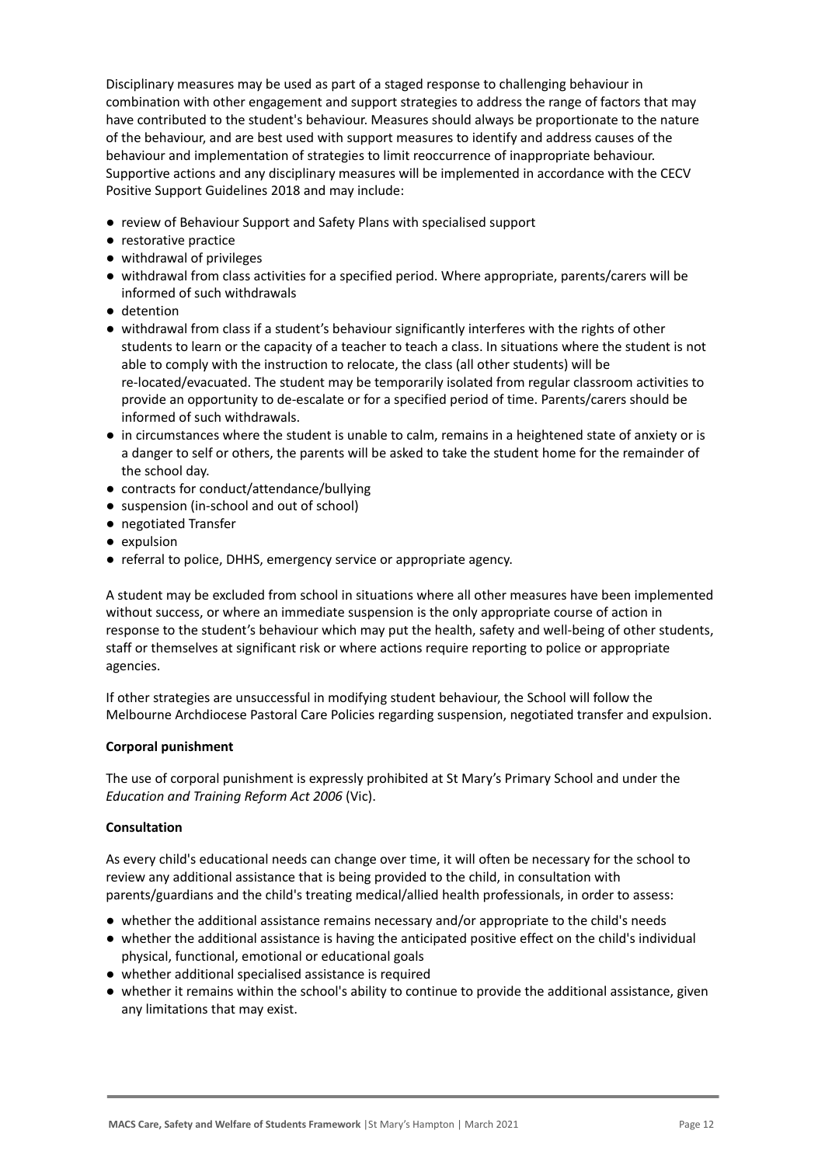Disciplinary measures may be used as part of a staged response to challenging behaviour in combination with other engagement and support strategies to address the range of factors that may have contributed to the student's behaviour. Measures should always be proportionate to the nature of the behaviour, and are best used with support measures to identify and address causes of the behaviour and implementation of strategies to limit reoccurrence of inappropriate behaviour. Supportive actions and any disciplinary measures will be implemented in accordance with the CECV Positive Support Guidelines 2018 and may include:

- review of Behaviour Support and Safety Plans with specialised support
- restorative practice
- withdrawal of privileges
- withdrawal from class activities for a specified period. Where appropriate, parents/carers will be informed of such withdrawals
- detention
- withdrawal from class if a student's behaviour significantly interferes with the rights of other students to learn or the capacity of a teacher to teach a class. In situations where the student is not able to comply with the instruction to relocate, the class (all other students) will be re-located/evacuated. The student may be temporarily isolated from regular classroom activities to provide an opportunity to de-escalate or for a specified period of time. Parents/carers should be informed of such withdrawals.
- in circumstances where the student is unable to calm, remains in a heightened state of anxiety or is a danger to self or others, the parents will be asked to take the student home for the remainder of the school day.
- contracts for conduct/attendance/bullying
- suspension (in-school and out of school)
- negotiated Transfer
- expulsion
- referral to police, DHHS, emergency service or appropriate agency.

A student may be excluded from school in situations where all other measures have been implemented without success, or where an immediate suspension is the only appropriate course of action in response to the student's behaviour which may put the health, safety and well-being of other students, staff or themselves at significant risk or where actions require reporting to police or appropriate agencies.

If other strategies are unsuccessful in modifying student behaviour, the School will follow the Melbourne Archdiocese Pastoral Care Policies regarding suspension, negotiated transfer and expulsion.

#### **Corporal punishment**

The use of corporal punishment is expressly prohibited at St Mary's Primary School and under the *Education and Training Reform Act 2006* (Vic).

#### **Consultation**

As every child's educational needs can change over time, it will often be necessary for the school to review any additional assistance that is being provided to the child, in consultation with parents/guardians and the child's treating medical/allied health professionals, in order to assess:

- whether the additional assistance remains necessary and/or appropriate to the child's needs
- whether the additional assistance is having the anticipated positive effect on the child's individual physical, functional, emotional or educational goals
- whether additional specialised assistance is required
- whether it remains within the school's ability to continue to provide the additional assistance, given any limitations that may exist.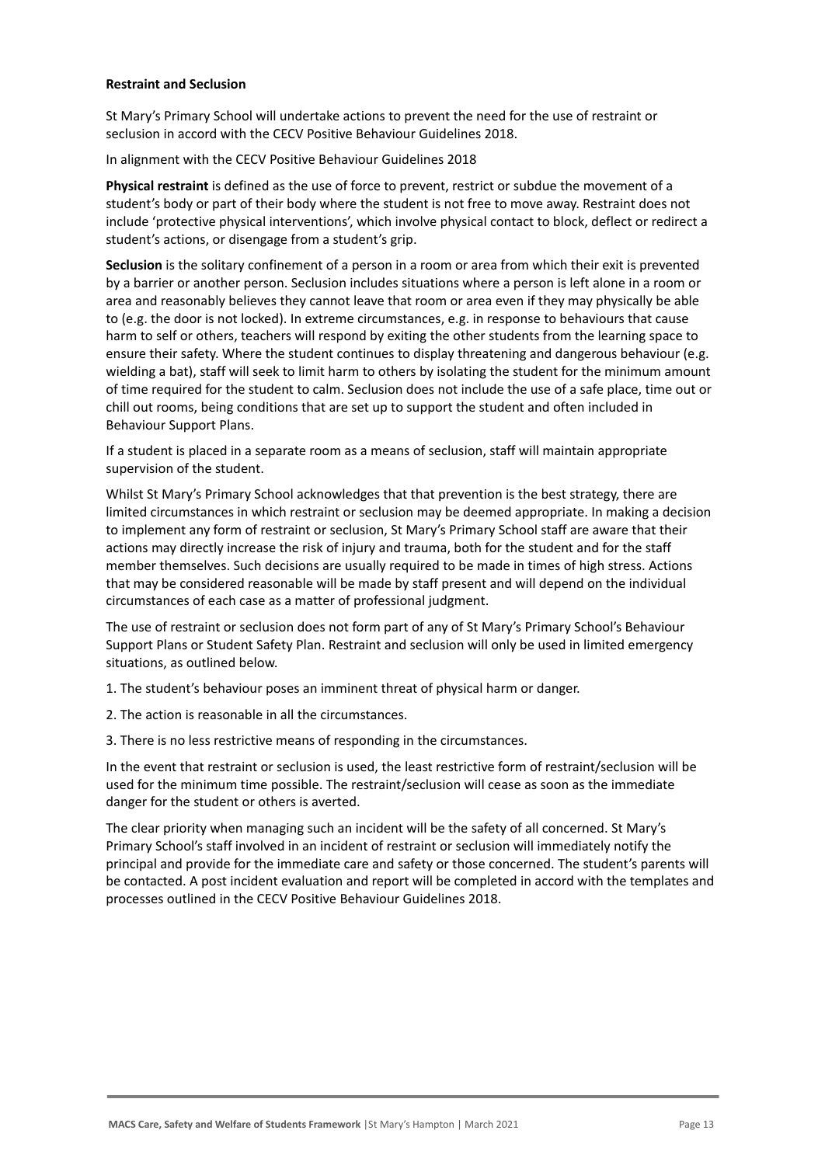#### **Restraint and Seclusion**

St Mary's Primary School will undertake actions to prevent the need for the use of restraint or seclusion in accord with the CECV Positive Behaviour Guidelines 2018.

In alignment with the CECV Positive Behaviour Guidelines 2018

**Physical restraint** is defined as the use of force to prevent, restrict or subdue the movement of a student's body or part of their body where the student is not free to move away. Restraint does not include 'protective physical interventions', which involve physical contact to block, deflect or redirect a student's actions, or disengage from a student's grip.

**Seclusion** is the solitary confinement of a person in a room or area from which their exit is prevented by a barrier or another person. Seclusion includes situations where a person is left alone in a room or area and reasonably believes they cannot leave that room or area even if they may physically be able to (e.g. the door is not locked). In extreme circumstances, e.g. in response to behaviours that cause harm to self or others, teachers will respond by exiting the other students from the learning space to ensure their safety. Where the student continues to display threatening and dangerous behaviour (e.g. wielding a bat), staff will seek to limit harm to others by isolating the student for the minimum amount of time required for the student to calm. Seclusion does not include the use of a safe place, time out or chill out rooms, being conditions that are set up to support the student and often included in Behaviour Support Plans.

If a student is placed in a separate room as a means of seclusion, staff will maintain appropriate supervision of the student.

Whilst St Mary's Primary School acknowledges that that prevention is the best strategy, there are limited circumstances in which restraint or seclusion may be deemed appropriate. In making a decision to implement any form of restraint or seclusion, St Mary's Primary School staff are aware that their actions may directly increase the risk of injury and trauma, both for the student and for the staff member themselves. Such decisions are usually required to be made in times of high stress. Actions that may be considered reasonable will be made by staff present and will depend on the individual circumstances of each case as a matter of professional judgment.

The use of restraint or seclusion does not form part of any of St Mary's Primary School's Behaviour Support Plans or Student Safety Plan. Restraint and seclusion will only be used in limited emergency situations, as outlined below.

1. The student's behaviour poses an imminent threat of physical harm or danger.

2. The action is reasonable in all the circumstances.

3. There is no less restrictive means of responding in the circumstances.

In the event that restraint or seclusion is used, the least restrictive form of restraint/seclusion will be used for the minimum time possible. The restraint/seclusion will cease as soon as the immediate danger for the student or others is averted.

The clear priority when managing such an incident will be the safety of all concerned. St Mary's Primary School's staff involved in an incident of restraint or seclusion will immediately notify the principal and provide for the immediate care and safety or those concerned. The student's parents will be contacted. A post incident evaluation and report will be completed in accord with the templates and processes outlined in the CECV Positive Behaviour Guidelines 2018.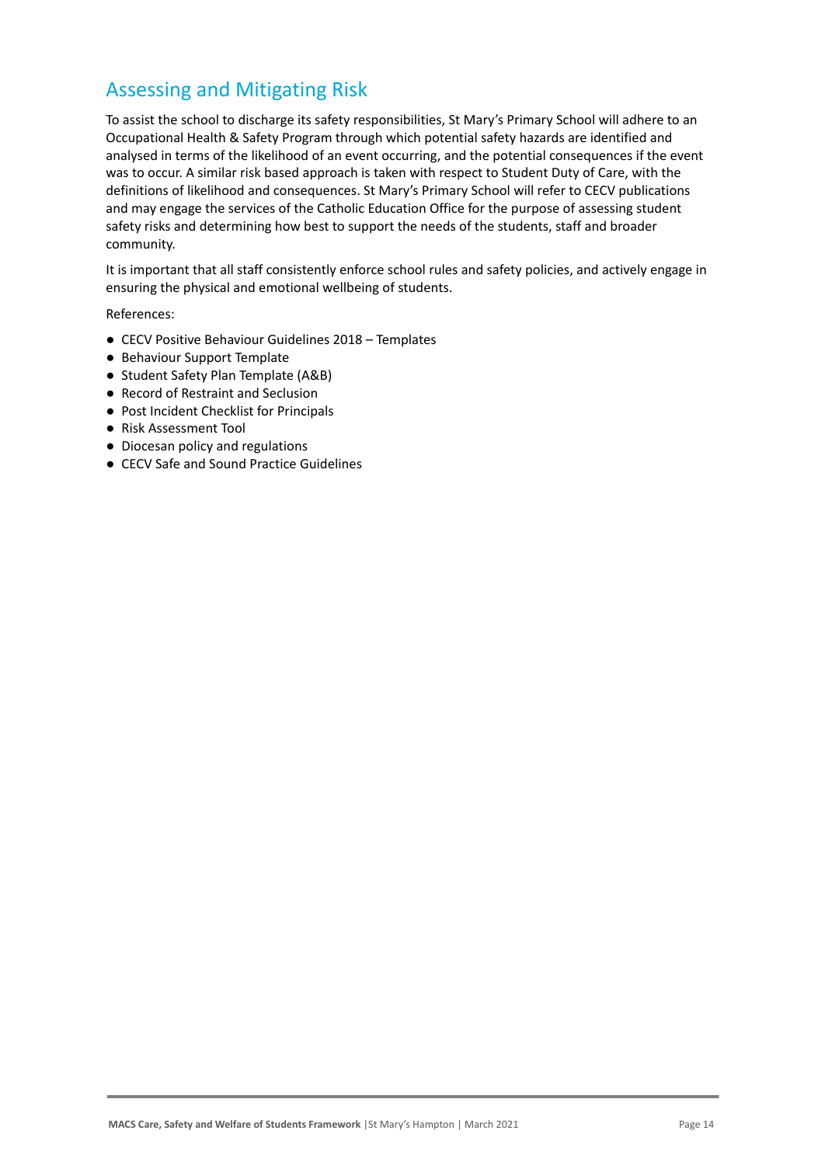## Assessing and Mitigating Risk

To assist the school to discharge its safety responsibilities, St Mary's Primary School will adhere to an Occupational Health & Safety Program through which potential safety hazards are identified and analysed in terms of the likelihood of an event occurring, and the potential consequences if the event was to occur. A similar risk based approach is taken with respect to Student Duty of Care, with the definitions of likelihood and consequences. St Mary's Primary School will refer to CECV publications and may engage the services of the Catholic Education Office for the purpose of assessing student safety risks and determining how best to support the needs of the students, staff and broader community.

It is important that all staff consistently enforce school rules and safety policies, and actively engage in ensuring the physical and emotional wellbeing of students.

References:

- CECV Positive Behaviour Guidelines 2018 Templates
- Behaviour Support Template
- Student Safety Plan Template (A&B)
- Record of Restraint and Seclusion
- Post Incident Checklist for Principals
- Risk Assessment Tool
- Diocesan policy and regulations
- CECV Safe and Sound Practice Guidelines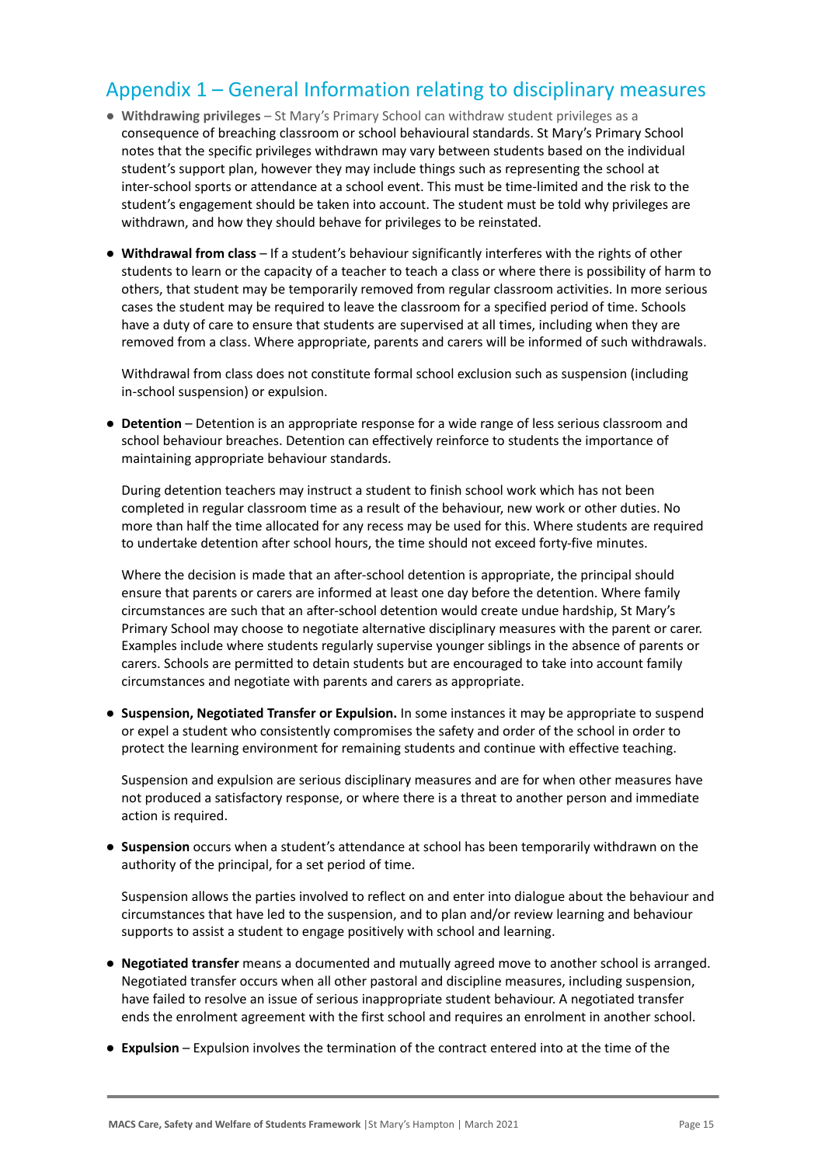## Appendix 1 – General Information relating to disciplinary measures

- **Withdrawing privileges** St Mary's Primary School can withdraw student privileges as a consequence of breaching classroom or school behavioural standards. St Mary's Primary School notes that the specific privileges withdrawn may vary between students based on the individual student's support plan, however they may include things such as representing the school at inter-school sports or attendance at a school event. This must be time-limited and the risk to the student's engagement should be taken into account. The student must be told why privileges are withdrawn, and how they should behave for privileges to be reinstated.
- **Withdrawal from class** If a student's behaviour significantly interferes with the rights of other students to learn or the capacity of a teacher to teach a class or where there is possibility of harm to others, that student may be temporarily removed from regular classroom activities. In more serious cases the student may be required to leave the classroom for a specified period of time. Schools have a duty of care to ensure that students are supervised at all times, including when they are removed from a class. Where appropriate, parents and carers will be informed of such withdrawals.

Withdrawal from class does not constitute formal school exclusion such as suspension (including in-school suspension) or expulsion.

● **Detention** – Detention is an appropriate response for a wide range of less serious classroom and school behaviour breaches. Detention can effectively reinforce to students the importance of maintaining appropriate behaviour standards.

During detention teachers may instruct a student to finish school work which has not been completed in regular classroom time as a result of the behaviour, new work or other duties. No more than half the time allocated for any recess may be used for this. Where students are required to undertake detention after school hours, the time should not exceed forty-five minutes.

Where the decision is made that an after-school detention is appropriate, the principal should ensure that parents or carers are informed at least one day before the detention. Where family circumstances are such that an after-school detention would create undue hardship, St Mary's Primary School may choose to negotiate alternative disciplinary measures with the parent or carer. Examples include where students regularly supervise younger siblings in the absence of parents or carers. Schools are permitted to detain students but are encouraged to take into account family circumstances and negotiate with parents and carers as appropriate.

● **Suspension, Negotiated Transfer or Expulsion.** In some instances it may be appropriate to suspend or expel a student who consistently compromises the safety and order of the school in order to protect the learning environment for remaining students and continue with effective teaching.

Suspension and expulsion are serious disciplinary measures and are for when other measures have not produced a satisfactory response, or where there is a threat to another person and immediate action is required.

● **Suspension** occurs when a student's attendance at school has been temporarily withdrawn on the authority of the principal, for a set period of time.

Suspension allows the parties involved to reflect on and enter into dialogue about the behaviour and circumstances that have led to the suspension, and to plan and/or review learning and behaviour supports to assist a student to engage positively with school and learning.

- **Negotiated transfer** means a documented and mutually agreed move to another school is arranged. Negotiated transfer occurs when all other pastoral and discipline measures, including suspension, have failed to resolve an issue of serious inappropriate student behaviour. A negotiated transfer ends the enrolment agreement with the first school and requires an enrolment in another school.
- **Expulsion** Expulsion involves the termination of the contract entered into at the time of the